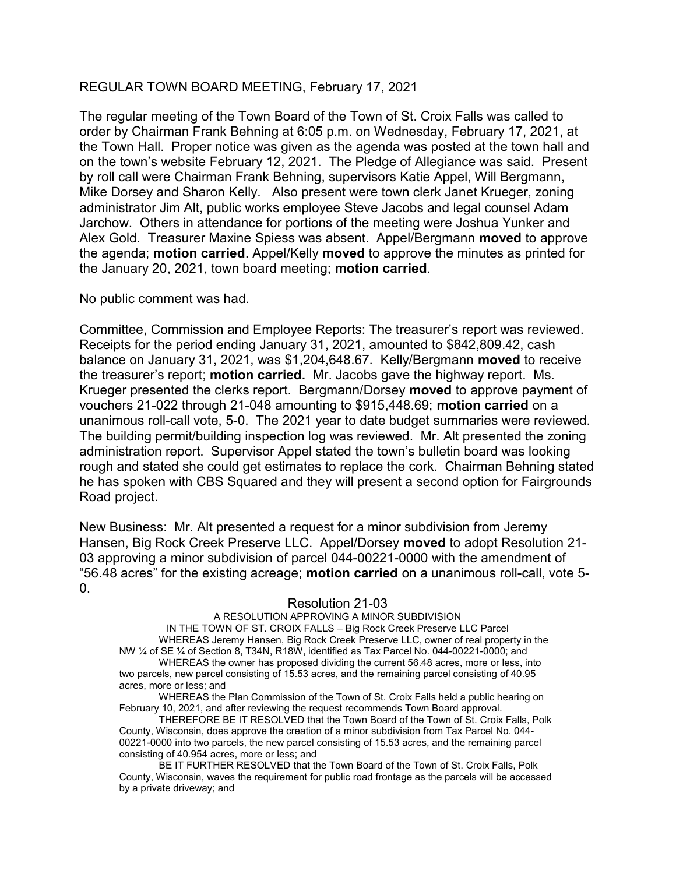## REGULAR TOWN BOARD MEETING, February 17, 2021

The regular meeting of the Town Board of the Town of St. Croix Falls was called to order by Chairman Frank Behning at 6:05 p.m. on Wednesday, February 17, 2021, at the Town Hall. Proper notice was given as the agenda was posted at the town hall and on the town's website February 12, 2021. The Pledge of Allegiance was said. Present by roll call were Chairman Frank Behning, supervisors Katie Appel, Will Bergmann, Mike Dorsey and Sharon Kelly. Also present were town clerk Janet Krueger, zoning administrator Jim Alt, public works employee Steve Jacobs and legal counsel Adam Jarchow. Others in attendance for portions of the meeting were Joshua Yunker and Alex Gold. Treasurer Maxine Spiess was absent. Appel/Bergmann moved to approve the agenda; motion carried. Appel/Kelly moved to approve the minutes as printed for the January 20, 2021, town board meeting; motion carried.

No public comment was had.

Committee, Commission and Employee Reports: The treasurer's report was reviewed. Receipts for the period ending January 31, 2021, amounted to \$842,809.42, cash balance on January 31, 2021, was \$1,204,648.67. Kelly/Bergmann moved to receive the treasurer's report; motion carried. Mr. Jacobs gave the highway report. Ms. Krueger presented the clerks report. Bergmann/Dorsey moved to approve payment of vouchers 21-022 through 21-048 amounting to \$915,448.69; motion carried on a unanimous roll-call vote, 5-0. The 2021 year to date budget summaries were reviewed. The building permit/building inspection log was reviewed. Mr. Alt presented the zoning administration report. Supervisor Appel stated the town's bulletin board was looking rough and stated she could get estimates to replace the cork. Chairman Behning stated he has spoken with CBS Squared and they will present a second option for Fairgrounds Road project.

New Business: Mr. Alt presented a request for a minor subdivision from Jeremy Hansen, Big Rock Creek Preserve LLC. Appel/Dorsey moved to adopt Resolution 21- 03 approving a minor subdivision of parcel 044-00221-0000 with the amendment of "56.48 acres" for the existing acreage; motion carried on a unanimous roll-call, vote 5-  $\mathbf{0}$ .

## Resolution 21-03

A RESOLUTION APPROVING A MINOR SUBDIVISION IN THE TOWN OF ST. CROIX FALLS – Big Rock Creek Preserve LLC Parcel WHEREAS Jeremy Hansen, Big Rock Creek Preserve LLC, owner of real property in the NW ¼ of SE ¼ of Section 8, T34N, R18W, identified as Tax Parcel No. 044-00221-0000; and WHEREAS the owner has proposed dividing the current 56.48 acres, more or less, into two parcels, new parcel consisting of 15.53 acres, and the remaining parcel consisting of 40.95 acres, more or less; and

WHEREAS the Plan Commission of the Town of St. Croix Falls held a public hearing on February 10, 2021, and after reviewing the request recommends Town Board approval.

THEREFORE BE IT RESOLVED that the Town Board of the Town of St. Croix Falls, Polk County, Wisconsin, does approve the creation of a minor subdivision from Tax Parcel No. 044- 00221-0000 into two parcels, the new parcel consisting of 15.53 acres, and the remaining parcel consisting of 40.954 acres, more or less; and

BE IT FURTHER RESOLVED that the Town Board of the Town of St. Croix Falls, Polk County, Wisconsin, waves the requirement for public road frontage as the parcels will be accessed by a private driveway; and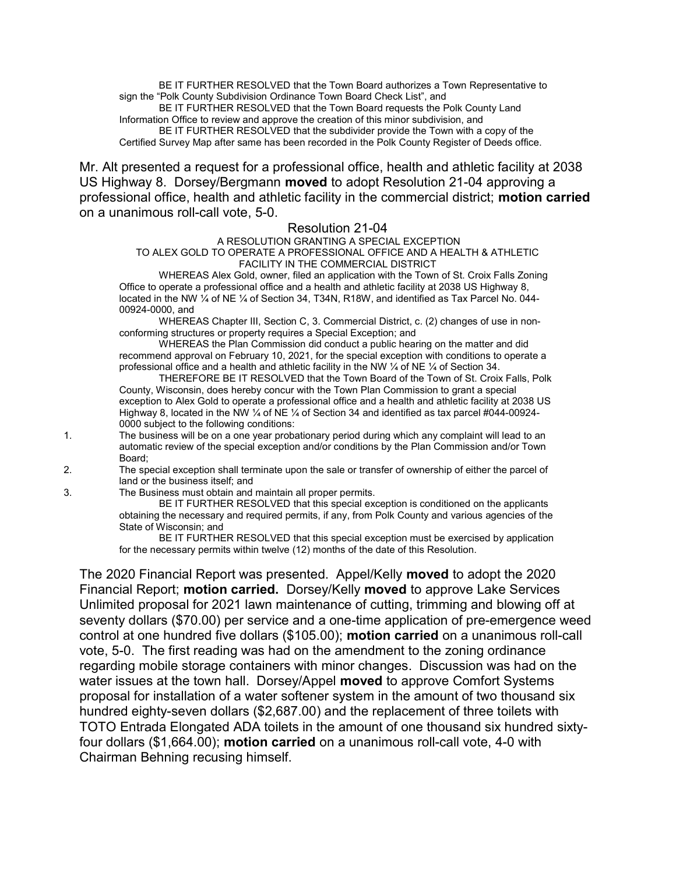BE IT FURTHER RESOLVED that the Town Board authorizes a Town Representative to sign the "Polk County Subdivision Ordinance Town Board Check List", and

 BE IT FURTHER RESOLVED that the Town Board requests the Polk County Land Information Office to review and approve the creation of this minor subdivision, and BE IT FURTHER RESOLVED that the subdivider provide the Town with a copy of the Certified Survey Map after same has been recorded in the Polk County Register of Deeds office.

Mr. Alt presented a request for a professional office, health and athletic facility at 2038 US Highway 8. Dorsey/Bergmann moved to adopt Resolution 21-04 approving a professional office, health and athletic facility in the commercial district; motion carried on a unanimous roll-call vote, 5-0.

## Resolution 21-04

 A RESOLUTION GRANTING A SPECIAL EXCEPTION TO ALEX GOLD TO OPERATE A PROFESSIONAL OFFICE AND A HEALTH & ATHLETIC FACILITY IN THE COMMERCIAL DISTRICT

WHEREAS Alex Gold, owner, filed an application with the Town of St. Croix Falls Zoning Office to operate a professional office and a health and athletic facility at 2038 US Highway 8, located in the NW ¼ of NE ¼ of Section 34, T34N, R18W, and identified as Tax Parcel No. 044- 00924-0000, and

WHEREAS Chapter III, Section C, 3. Commercial District, c. (2) changes of use in nonconforming structures or property requires a Special Exception; and

WHEREAS the Plan Commission did conduct a public hearing on the matter and did recommend approval on February 10, 2021, for the special exception with conditions to operate a professional office and a health and athletic facility in the NW ¼ of NE ¼ of Section 34.

THEREFORE BE IT RESOLVED that the Town Board of the Town of St. Croix Falls, Polk County, Wisconsin, does hereby concur with the Town Plan Commission to grant a special exception to Alex Gold to operate a professional office and a health and athletic facility at 2038 US Highway 8, located in the NW ¼ of NE ¼ of Section 34 and identified as tax parcel #044-00924- 0000 subject to the following conditions:

1. The business will be on a one year probationary period during which any complaint will lead to an automatic review of the special exception and/or conditions by the Plan Commission and/or Town Board;

2. The special exception shall terminate upon the sale or transfer of ownership of either the parcel of land or the business itself; and

3. The Business must obtain and maintain all proper permits.

 BE IT FURTHER RESOLVED that this special exception is conditioned on the applicants obtaining the necessary and required permits, if any, from Polk County and various agencies of the State of Wisconsin; and

 BE IT FURTHER RESOLVED that this special exception must be exercised by application for the necessary permits within twelve (12) months of the date of this Resolution.

The 2020 Financial Report was presented. Appel/Kelly moved to adopt the 2020 Financial Report; motion carried. Dorsey/Kelly moved to approve Lake Services Unlimited proposal for 2021 lawn maintenance of cutting, trimming and blowing off at seventy dollars (\$70.00) per service and a one-time application of pre-emergence weed control at one hundred five dollars (\$105.00); motion carried on a unanimous roll-call vote, 5-0. The first reading was had on the amendment to the zoning ordinance regarding mobile storage containers with minor changes. Discussion was had on the water issues at the town hall. Dorsey/Appel moved to approve Comfort Systems proposal for installation of a water softener system in the amount of two thousand six hundred eighty-seven dollars (\$2,687.00) and the replacement of three toilets with TOTO Entrada Elongated ADA toilets in the amount of one thousand six hundred sixtyfour dollars (\$1,664.00); motion carried on a unanimous roll-call vote, 4-0 with Chairman Behning recusing himself.